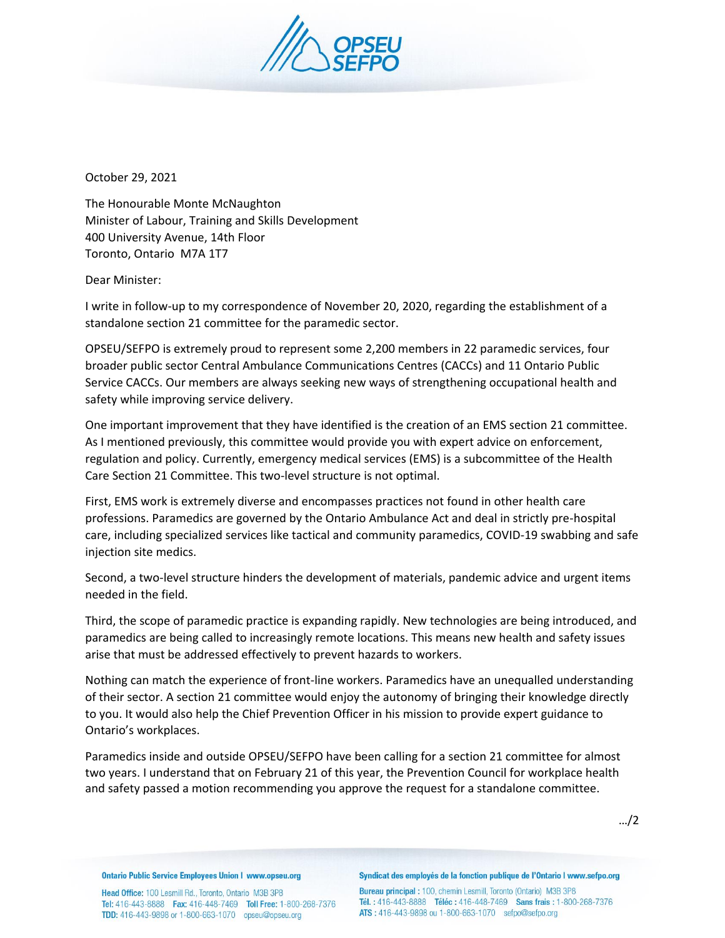

October 29, 2021

The Honourable Monte McNaughton Minister of Labour, Training and Skills Development 400 University Avenue, 14th Floor Toronto, Ontario M7A 1T7

Dear Minister:

I write in follow-up to my correspondence of November 20, 2020, regarding the establishment of a standalone section 21 committee for the paramedic sector.

OPSEU/SEFPO is extremely proud to represent some 2,200 members in 22 paramedic services, four broader public sector Central Ambulance Communications Centres (CACCs) and 11 Ontario Public Service CACCs. Our members are always seeking new ways of strengthening occupational health and safety while improving service delivery.

One important improvement that they have identified is the creation of an EMS section 21 committee. As I mentioned previously, this committee would provide you with expert advice on enforcement, regulation and policy. Currently, emergency medical services (EMS) is a subcommittee of the Health Care Section 21 Committee. This two-level structure is not optimal.

First, EMS work is extremely diverse and encompasses practices not found in other health care professions. Paramedics are governed by the Ontario Ambulance Act and deal in strictly pre-hospital care, including specialized services like tactical and community paramedics, COVID-19 swabbing and safe injection site medics.

Second, a two-level structure hinders the development of materials, pandemic advice and urgent items needed in the field.

Third, the scope of paramedic practice is expanding rapidly. New technologies are being introduced, and paramedics are being called to increasingly remote locations. This means new health and safety issues arise that must be addressed effectively to prevent hazards to workers.

Nothing can match the experience of front-line workers. Paramedics have an unequalled understanding of their sector. A section 21 committee would enjoy the autonomy of bringing their knowledge directly to you. It would also help the Chief Prevention Officer in his mission to provide expert guidance to Ontario's workplaces.

Paramedics inside and outside OPSEU/SEFPO have been calling for a section 21 committee for almost two years. I understand that on February 21 of this year, the Prevention Council for workplace health and safety passed a motion recommending you approve the request for a standalone committee.

…/2

**Ontario Public Service Employees Union I www.opseu.org** 

Head Office: 100 Lesmill Rd., Toronto, Ontario M3B 3P8 Tel: 416-443-8888 Fax: 416-448-7469 Toll Free: 1-800-268-7376 TDD: 416-443-9898 or 1-800-663-1070 opseu@opseu.org

Syndicat des employés de la fonction publique de l'Ontario I www.sefpo.org

Bureau principal: 100, chemin Lesmill, Toronto (Ontario) M3B 3P8 Tél.: 416-443-8888 Téléc: 416-448-7469 Sans frais: 1-800-268-7376 ATS: 416-443-9898 ou 1-800-663-1070 sefpo@sefpo.org